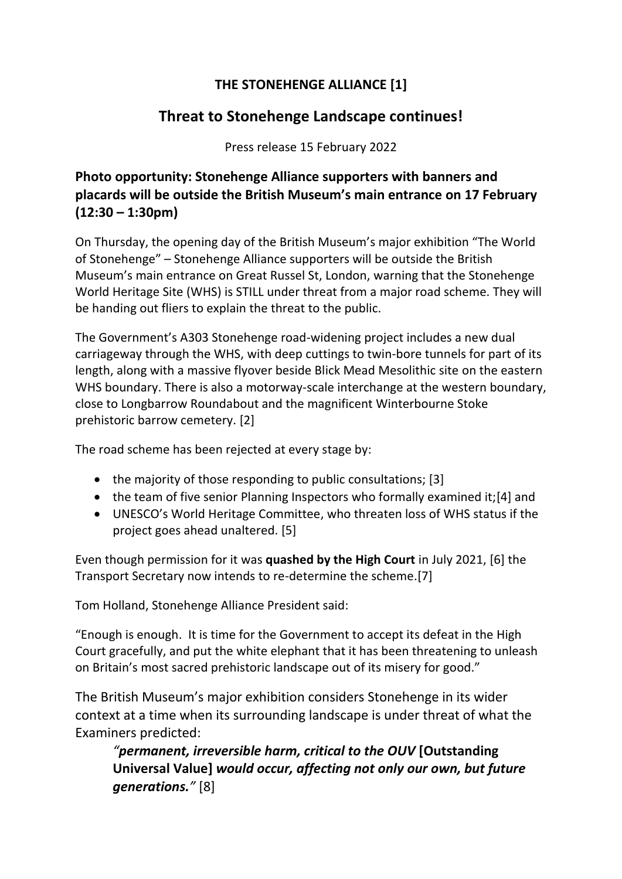## **THE STONEHENGE ALLIANCE [1]**

## **Threat to Stonehenge Landscape continues!**

Press release 15 February 2022

## **Photo opportunity: Stonehenge Alliance supporters with banners and placards will be outside the British Museum's main entrance on 17 February (12:30 – 1:30pm)**

On Thursday, the opening day of the British Museum's major exhibition "The World of Stonehenge" – Stonehenge Alliance supporters will be outside the British Museum's main entrance on Great Russel St, London, warning that the Stonehenge World Heritage Site (WHS) is STILL under threat from a major road scheme. They will be handing out fliers to explain the threat to the public.

The Government's A303 Stonehenge road-widening project includes a new dual carriageway through the WHS, with deep cuttings to twin-bore tunnels for part of its length, along with a massive flyover beside Blick Mead Mesolithic site on the eastern WHS boundary. There is also a motorway-scale interchange at the western boundary, close to Longbarrow Roundabout and the magnificent Winterbourne Stoke prehistoric barrow cemetery. [2]

The road scheme has been rejected at every stage by:

- the majority of those responding to public consultations; [3]
- the team of five senior Planning Inspectors who formally examined it;[4] and
- UNESCO's World Heritage Committee, who threaten loss of WHS status if the project goes ahead unaltered. [5]

Even though permission for it was **quashed by the High Court** in July 2021, [6] the Transport Secretary now intends to re-determine the scheme.[7]

Tom Holland, Stonehenge Alliance President said:

"Enough is enough. It is time for the Government to accept its defeat in the High Court gracefully, and put the white elephant that it has been threatening to unleash on Britain's most sacred prehistoric landscape out of its misery for good."

The British Museum's major exhibition considers Stonehenge in its wider context at a time when its surrounding landscape is under threat of what the Examiners predicted:

*"permanent, irreversible harm, critical to the OUV* **[Outstanding Universal Value]** *would occur, affecting not only our own, but future generations."* [8]